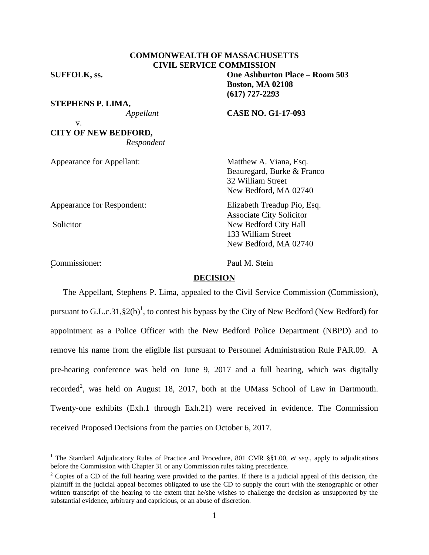# **COMMONWEALTH OF MASSACHUSETTS CIVIL SERVICE COMMISSION**

**SUFFOLK, ss. One Ashburton Place – Room 503**

v.

**STEPHENS P. LIMA,**

*Appellant* **CASE NO. G1-17-093**

**Boston, MA 02108 (617) 727-2293**

**CITY OF NEW BEDFORD,** *Respondent*

Appearance for Appellant: Matthew A. Viana, Esq.

Appearance for Respondent: Elizabeth Treadup Pio, Esq.

 $\overline{a}$ 

Commissioner: Paul M. Stein r<br>C

32 William Street New Bedford, MA 02740

Beauregard, Burke & Franco

Associate City Solicitor Solicitor New Bedford City Hall 133 William Street New Bedford, MA 02740

## **DECISION**

The Appellant, Stephens P. Lima, appealed to the Civil Service Commission (Commission), pursuant to G.L.c.31, §2(b)<sup>1</sup>, to contest his bypass by the City of New Bedford (New Bedford) for appointment as a Police Officer with the New Bedford Police Department (NBPD) and to remove his name from the eligible list pursuant to Personnel Administration Rule PAR.09. A pre-hearing conference was held on June 9, 2017 and a full hearing, which was digitally recorded<sup>2</sup>, was held on August 18, 2017, both at the UMass School of Law in Dartmouth. Twenty-one exhibits (Exh.1 through Exh.21) were received in evidence. The Commission received Proposed Decisions from the parties on October 6, 2017.

<sup>&</sup>lt;sup>1</sup> The Standard Adjudicatory Rules of Practice and Procedure, 801 CMR §§1.00, *et seq.*, apply to adjudications before the Commission with Chapter 31 or any Commission rules taking precedence.

<sup>&</sup>lt;sup>2</sup> Copies of a CD of the full hearing were provided to the parties. If there is a judicial appeal of this decision, the plaintiff in the judicial appeal becomes obligated to use the CD to supply the court with the stenographic or other written transcript of the hearing to the extent that he/she wishes to challenge the decision as unsupported by the substantial evidence, arbitrary and capricious, or an abuse of discretion.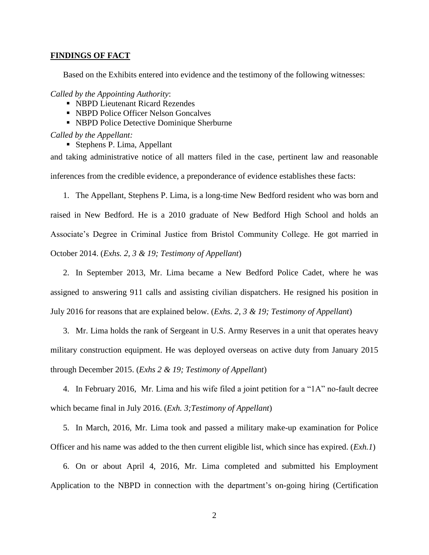### **FINDINGS OF FACT**

Based on the Exhibits entered into evidence and the testimony of the following witnesses:

*Called by the Appointing Authority*:

- NBPD Lieutenant Ricard Rezendes
- NBPD Police Officer Nelson Goncalves
- NBPD Police Detective Dominique Sherburne

*Called by the Appellant:*

Stephens P. Lima, Appellant

and taking administrative notice of all matters filed in the case, pertinent law and reasonable inferences from the credible evidence, a preponderance of evidence establishes these facts:

1. The Appellant, Stephens P. Lima, is a long-time New Bedford resident who was born and raised in New Bedford. He is a 2010 graduate of New Bedford High School and holds an Associate's Degree in Criminal Justice from Bristol Community College. He got married in October 2014. (*Exhs. 2, 3 & 19; Testimony of Appellant*)

2. In September 2013, Mr. Lima became a New Bedford Police Cadet, where he was assigned to answering 911 calls and assisting civilian dispatchers. He resigned his position in July 2016 for reasons that are explained below. (*Exhs. 2, 3 & 19; Testimony of Appellant*)

3. Mr. Lima holds the rank of Sergeant in U.S. Army Reserves in a unit that operates heavy military construction equipment. He was deployed overseas on active duty from January 2015 through December 2015. (*Exhs 2 & 19; Testimony of Appellant*)

4. In February 2016, Mr. Lima and his wife filed a joint petition for a "1A" no-fault decree which became final in July 2016. (*Exh. 3;Testimony of Appellant*)

5. In March, 2016, Mr. Lima took and passed a military make-up examination for Police Officer and his name was added to the then current eligible list, which since has expired. (*Exh.1*)

6. On or about April 4, 2016, Mr. Lima completed and submitted his Employment Application to the NBPD in connection with the department's on-going hiring (Certification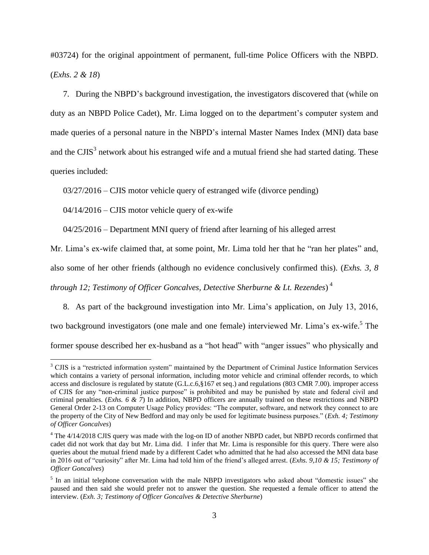#03724) for the original appointment of permanent, full-time Police Officers with the NBPD. (*Exhs. 2 & 18*)

7. During the NBPD's background investigation, the investigators discovered that (while on duty as an NBPD Police Cadet), Mr. Lima logged on to the department's computer system and made queries of a personal nature in the NBPD's internal Master Names Index (MNI) data base and the CJIS<sup>3</sup> network about his estranged wife and a mutual friend she had started dating. These queries included:

03/27/2016 – CJIS motor vehicle query of estranged wife (divorce pending)

 $04/14/2016$  – CJIS motor vehicle query of ex-wife

 $\overline{a}$ 

04/25/2016 – Department MNI query of friend after learning of his alleged arrest

Mr. Lima's ex-wife claimed that, at some point, Mr. Lima told her that he "ran her plates" and,

also some of her other friends (although no evidence conclusively confirmed this). (*Exhs. 3, 8* 

*through 12; Testimony of Officer Goncalves, Detective Sherburne & Lt. Rezendes*) 4

8. As part of the background investigation into Mr. Lima's application, on July 13, 2016, two background investigators (one male and one female) interviewed Mr. Lima's ex-wife.<sup>5</sup> The former spouse described her ex-husband as a "hot head" with "anger issues" who physically and

<sup>&</sup>lt;sup>3</sup> CJIS is a "restricted information system" maintained by the Department of Criminal Justice Information Services which contains a variety of personal information, including motor vehicle and criminal offender records, to which access and disclosure is regulated by statute (G.L.c.6,§167 et seq.) and regulations (803 CMR 7.00). improper access of CJIS for any "non-criminal justice purpose" is prohibited and may be punished by state and federal civil and criminal penalties. (*Exhs. 6 & 7*) In addition, NBPD officers are annually trained on these restrictions and NBPD General Order 2-13 on Computer Usage Policy provides: "The computer, software, and network they connect to are the property of the City of New Bedford and may only be used for legitimate business purposes." (*Exh. 4; Testimony of Officer Goncalves*)

<sup>&</sup>lt;sup>4</sup> The 4/14/2018 CJIS query was made with the log-on ID of another NBPD cadet, but NBPD records confirmed that cadet did not work that day but Mr. Lima did. I infer that Mr. Lima is responsible for this query. There were also queries about the mutual friend made by a different Cadet who admitted that he had also accessed the MNI data base in 2016 out of "curiosity" after Mr. Lima had told him of the friend's alleged arrest. (*Exhs. 9,10 & 15; Testimony of Officer Goncalves*)

<sup>&</sup>lt;sup>5</sup> In an initial telephone conversation with the male NBPD investigators who asked about "domestic issues" she paused and then said she would prefer not to answer the question. She requested a female officer to attend the interview. (*Exh. 3; Testimony of Officer Goncalves & Detective Sherburne*)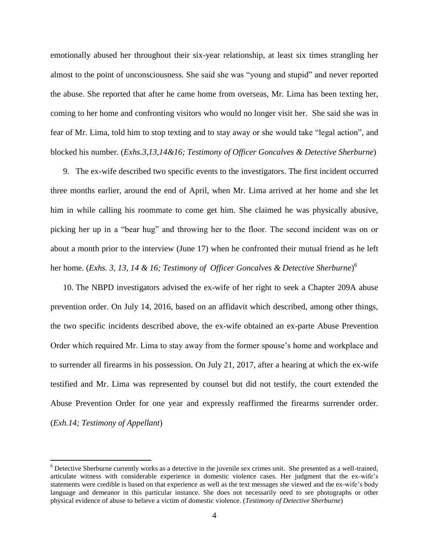emotionally abused her throughout their six-year relationship, at least six times strangling her almost to the point of unconsciousness. She said she was "young and stupid" and never reported the abuse. She reported that after he came home from overseas, Mr. Lima has been texting her, coming to her home and confronting visitors who would no longer visit her. She said she was in fear of Mr. Lima, told him to stop texting and to stay away or she would take "legal action", and blocked his number. (*Exhs.3,13,14&16; Testimony of Officer Goncalves & Detective Sherburne*)

9. The ex-wife described two specific events to the investigators. The first incident occurred three months earlier, around the end of April, when Mr. Lima arrived at her home and she let him in while calling his roommate to come get him. She claimed he was physically abusive, picking her up in a "bear hug" and throwing her to the floor. The second incident was on or about a month prior to the interview (June 17) when he confronted their mutual friend as he left her home. (*Exhs. 3, 13, 14 & 16; Testimony of Officer Goncalves & Detective Sherburne*) 6

10. The NBPD investigators advised the ex-wife of her right to seek a Chapter 209A abuse prevention order. On July 14, 2016, based on an affidavit which described, among other things, the two specific incidents described above, the ex-wife obtained an ex-parte Abuse Prevention Order which required Mr. Lima to stay away from the former spouse's home and workplace and to surrender all firearms in his possession. On July 21, 2017, after a hearing at which the ex-wife testified and Mr. Lima was represented by counsel but did not testify, the court extended the Abuse Prevention Order for one year and expressly reaffirmed the firearms surrender order. (*Exh.14; Testimony of Appellant*)

 $\overline{a}$ 

 $6$  Detective Sherburne currently works as a detective in the juvenile sex crimes unit. She presented as a well-trained, articulate witness with considerable experience in domestic violence cases. Her judgment that the ex-wife's statements were credible is based on that experience as well as the text messages she viewed and the ex-wife's body language and demeanor in this particular instance. She does not necessarily need to see photographs or other physical evidence of abuse to believe a victim of domestic violence. (*Testimony of Detective Sherburne*)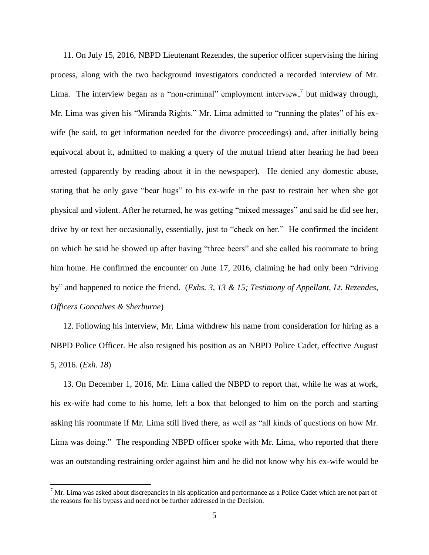11. On July 15, 2016, NBPD Lieutenant Rezendes, the superior officer supervising the hiring process, along with the two background investigators conducted a recorded interview of Mr. Lima. The interview began as a "non-criminal" employment interview, but midway through, Mr. Lima was given his "Miranda Rights." Mr. Lima admitted to "running the plates" of his exwife (he said, to get information needed for the divorce proceedings) and, after initially being equivocal about it, admitted to making a query of the mutual friend after hearing he had been arrested (apparently by reading about it in the newspaper). He denied any domestic abuse, stating that he only gave "bear hugs" to his ex-wife in the past to restrain her when she got physical and violent. After he returned, he was getting "mixed messages" and said he did see her, drive by or text her occasionally, essentially, just to "check on her." He confirmed the incident on which he said he showed up after having "three beers" and she called his roommate to bring him home. He confirmed the encounter on June 17, 2016, claiming he had only been "driving by" and happened to notice the friend. (*Exhs. 3, 13 & 15; Testimony of Appellant, Lt. Rezendes, Officers Goncalves & Sherburne*)

12. Following his interview, Mr. Lima withdrew his name from consideration for hiring as a NBPD Police Officer. He also resigned his position as an NBPD Police Cadet, effective August 5, 2016. (*Exh. 18*)

13. On December 1, 2016, Mr. Lima called the NBPD to report that, while he was at work, his ex-wife had come to his home, left a box that belonged to him on the porch and starting asking his roommate if Mr. Lima still lived there, as well as "all kinds of questions on how Mr. Lima was doing." The responding NBPD officer spoke with Mr. Lima, who reported that there was an outstanding restraining order against him and he did not know why his ex-wife would be

 $\overline{a}$ 

 $<sup>7</sup>$  Mr. Lima was asked about discrepancies in his application and performance as a Police Cadet which are not part of</sup> the reasons for his bypass and need not be further addressed in the Decision.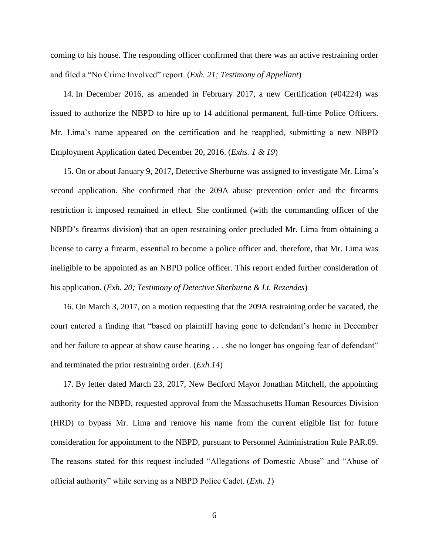coming to his house. The responding officer confirmed that there was an active restraining order and filed a "No Crime Involved" report. (*Exh. 21; Testimony of Appellant*)

14. In December 2016, as amended in February 2017, a new Certification (#04224) was issued to authorize the NBPD to hire up to 14 additional permanent, full-time Police Officers. Mr. Lima's name appeared on the certification and he reapplied, submitting a new NBPD Employment Application dated December 20, 2016. (*Exhs. 1 & 19*)

15. On or about January 9, 2017, Detective Sherburne was assigned to investigate Mr. Lima's second application. She confirmed that the 209A abuse prevention order and the firearms restriction it imposed remained in effect. She confirmed (with the commanding officer of the NBPD's firearms division) that an open restraining order precluded Mr. Lima from obtaining a license to carry a firearm, essential to become a police officer and, therefore, that Mr. Lima was ineligible to be appointed as an NBPD police officer. This report ended further consideration of his application. (*Exh. 20; Testimony of Detective Sherburne & Lt. Rezendes*)

16. On March 3, 2017, on a motion requesting that the 209A restraining order be vacated, the court entered a finding that "based on plaintiff having gone to defendant's home in December and her failure to appear at show cause hearing . . . she no longer has ongoing fear of defendant" and terminated the prior restraining order. (*Exh.14*)

17. By letter dated March 23, 2017, New Bedford Mayor Jonathan Mitchell, the appointing authority for the NBPD, requested approval from the Massachusetts Human Resources Division (HRD) to bypass Mr. Lima and remove his name from the current eligible list for future consideration for appointment to the NBPD, pursuant to Personnel Administration Rule PAR.09. The reasons stated for this request included "Allegations of Domestic Abuse" and "Abuse of official authority" while serving as a NBPD Police Cadet. (*Exh. 1*)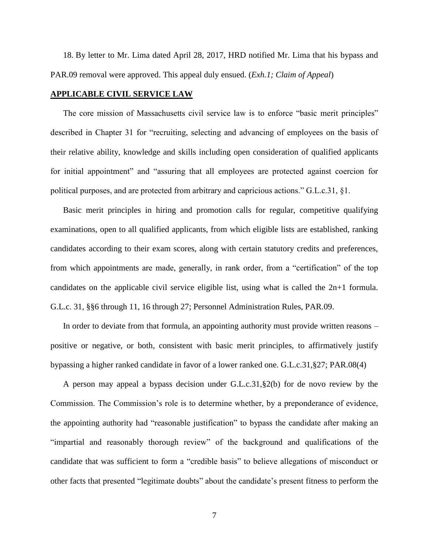18. By letter to Mr. Lima dated April 28, 2017, HRD notified Mr. Lima that his bypass and PAR.09 removal were approved. This appeal duly ensued. (*Exh.1; Claim of Appeal*)

### **APPLICABLE CIVIL SERVICE LAW**

The core mission of Massachusetts civil service law is to enforce "basic merit principles" described in Chapter 31 for "recruiting, selecting and advancing of employees on the basis of their relative ability, knowledge and skills including open consideration of qualified applicants for initial appointment" and "assuring that all employees are protected against coercion for political purposes, and are protected from arbitrary and capricious actions." G.L.c.31, §1.

Basic merit principles in hiring and promotion calls for regular, competitive qualifying examinations, open to all qualified applicants, from which eligible lists are established, ranking candidates according to their exam scores, along with certain statutory credits and preferences, from which appointments are made, generally, in rank order, from a "certification" of the top candidates on the applicable civil service eligible list, using what is called the 2n+1 formula. G.L.c. 31, §§6 through 11, 16 through 27; Personnel Administration Rules, PAR.09.

In order to deviate from that formula, an appointing authority must provide written reasons – positive or negative, or both, consistent with basic merit principles, to affirmatively justify bypassing a higher ranked candidate in favor of a lower ranked one. G.L.c.31,§27; PAR.08(4)

A person may appeal a bypass decision under G.L.c.31,§2(b) for de novo review by the Commission. The Commission's role is to determine whether, by a preponderance of evidence, the appointing authority had "reasonable justification" to bypass the candidate after making an "impartial and reasonably thorough review" of the background and qualifications of the candidate that was sufficient to form a "credible basis" to believe allegations of misconduct or other facts that presented "legitimate doubts" about the candidate's present fitness to perform the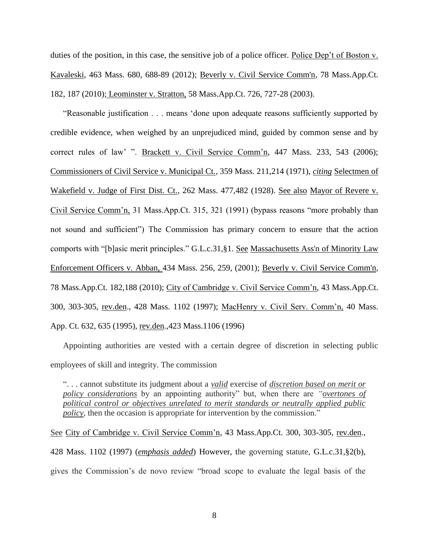duties of the position, in this case, the sensitive job of a police officer. Police Dep't of Boston v. Kavaleski, 463 Mass. 680, 688-89 (2012); [Beverly v. Civil Service Comm'n, 78 Mass.App.Ct.](http://web2.westlaw.com/find/default.wl?mt=Massachusetts&db=578&rs=WLW15.04&tc=-1&rp=%2ffind%2fdefault.wl&findtype=Y&ordoc=2029136022&serialnum=2023501172&vr=2.0&fn=_top&sv=Split&tf=-1&pbc=70F732C1&utid=1)  [182, 187 \(2010\);](http://web2.westlaw.com/find/default.wl?mt=Massachusetts&db=578&rs=WLW15.04&tc=-1&rp=%2ffind%2fdefault.wl&findtype=Y&ordoc=2029136022&serialnum=2023501172&vr=2.0&fn=_top&sv=Split&tf=-1&pbc=70F732C1&utid=1) Leominster v. Stratton, 58 Mass.App.Ct. 726, 727-28 (2003).

"Reasonable justification . . . means 'done upon adequate reasons sufficiently supported by credible evidence, when weighed by an unprejudiced mind, guided by common sense and by correct rules of law' ". Brackett v. Civil Service Comm'n, 447 Mass. 233, 543 (2006); Commissioners of Civil Service v. Municipal Ct., 359 Mass. 211,214 (1971), *citing* Selectmen of Wakefield v. Judge of First Dist. Ct., 262 Mass. 477,482 (1928). See also Mayor of Revere v. Civil Service Comm'n, 31 Mass.App.Ct. 315, 321 (1991) (bypass reasons "more probably than not sound and sufficient") The Commission has primary concern to ensure that the action comports with "[b]asic merit principles." [G.L.c.31,§1.](http://web2.westlaw.com/find/default.wl?mt=Massachusetts&db=1000042&rs=WLW15.04&docname=MAST31S1&rp=%2ffind%2fdefault.wl&findtype=L&ordoc=2029136022&tc=-1&vr=2.0&fn=_top&sv=Split&tf=-1&pbc=70F732C1&utid=1) See [Massachusetts Ass'n of Minority Law](http://web2.westlaw.com/find/default.wl?mt=Massachusetts&db=578&rs=WLW15.04&tc=-1&rp=%2ffind%2fdefault.wl&findtype=Y&ordoc=2029136022&serialnum=2001441097&vr=2.0&fn=_top&sv=Split&tf=-1&pbc=70F732C1&utid=1)  [Enforcement Officers v. Abban,](http://web2.westlaw.com/find/default.wl?mt=Massachusetts&db=578&rs=WLW15.04&tc=-1&rp=%2ffind%2fdefault.wl&findtype=Y&ordoc=2029136022&serialnum=2001441097&vr=2.0&fn=_top&sv=Split&tf=-1&pbc=70F732C1&utid=1) 434 Mass. 256, 259, (2001); [Beverly v. Civil Service Comm'n,](http://web2.westlaw.com/find/default.wl?mt=Massachusetts&db=578&rs=WLW15.04&tc=-1&rp=%2ffind%2fdefault.wl&findtype=Y&ordoc=2029136022&serialnum=2023501172&vr=2.0&fn=_top&sv=Split&tf=-1&pbc=70F732C1&utid=1)  [78 Mass.App.Ct. 182,188 \(2010\);](http://web2.westlaw.com/find/default.wl?mt=Massachusetts&db=578&rs=WLW15.04&tc=-1&rp=%2ffind%2fdefault.wl&findtype=Y&ordoc=2029136022&serialnum=2023501172&vr=2.0&fn=_top&sv=Split&tf=-1&pbc=70F732C1&utid=1) City of Cambridge v. Civil Service Comm'n, 43 Mass.App.Ct. 300, 303-305, rev.den., 428 Mass. 1102 (1997); MacHenry v. Civil Serv. Comm'n, 40 Mass. App. Ct. 632, 635 (1995), rev.den.,423 Mass.1106 (1996)

Appointing authorities are vested with a certain degree of discretion in selecting public employees of skill and integrity. The commission

". . . cannot substitute its judgment about a *valid* exercise of *discretion based on merit or policy considerations* by an appointing authority" but, when there are *"overtones of political control or objectives unrelated to merit standards or neutrally applied public policy*, then the occasion is appropriate for intervention by the commission."

See City of Cambridge v. Civil Service Comm'n, 43 Mass.App.Ct. 300, 303-305, rev.den., 428 Mass. 1102 (1997) (*emphasis added*) However, the governing statute, [G.L.c.31,§2\(b\),](https://1.next.westlaw.com/Link/Document/FullText?findType=L&pubNum=1000042&cite=MAST31S2&originatingDoc=Ib21af0ded3bd11d99439b076ef9ec4de&refType=LQ&originationContext=document&transitionType=DocumentItem&contextData=(sc.History*oc.UserEnteredCitation)) gives the Commission's de novo review "broad scope to evaluate the legal basis of the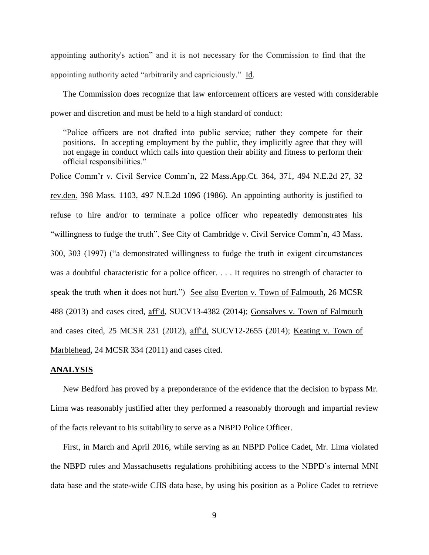appointing authority's action" and it is not necessary for the Commission to find that the appointing authority acted "arbitrarily and capriciously." Id.

The Commission does recognize that law enforcement officers are vested with considerable power and discretion and must be held to a high standard of conduct:

"Police officers are not drafted into public service; rather they compete for their positions. In accepting employment by the public, they implicitly agree that they will not engage in conduct which calls into question their ability and fitness to perform their official responsibilities."

Police Comm'r v. Civil Service Comm'n, 22 Mass.App.Ct. 364, 371, 494 N.E.2d 27, 32 rev.den. 398 Mass. 1103, 497 N.E.2d 1096 (1986). An appointing authority is justified to refuse to hire and/or to terminate a police officer who repeatedly demonstrates his "willingness to fudge the truth". See City of Cambridge v. Civil Service Comm'n, 43 Mass. 300, 303 (1997) ("a demonstrated willingness to fudge the truth in exigent circumstances was a doubtful characteristic for a police officer. . . . It requires no strength of character to speak the truth when it does not hurt.") See also Everton v. Town of Falmouth, 26 MCSR 488 (2013) and cases cited, aff'd, SUCV13-4382 (2014); Gonsalves v. Town of Falmouth and cases cited, 25 MCSR 231 (2012), aff'd, SUCV12-2655 (2014); Keating v. Town of Marblehead, 24 MCSR 334 (2011) and cases cited.

### **ANALYSIS**

New Bedford has proved by a preponderance of the evidence that the decision to bypass Mr. Lima was reasonably justified after they performed a reasonably thorough and impartial review of the facts relevant to his suitability to serve as a NBPD Police Officer.

First, in March and April 2016, while serving as an NBPD Police Cadet, Mr. Lima violated the NBPD rules and Massachusetts regulations prohibiting access to the NBPD's internal MNI data base and the state-wide CJIS data base, by using his position as a Police Cadet to retrieve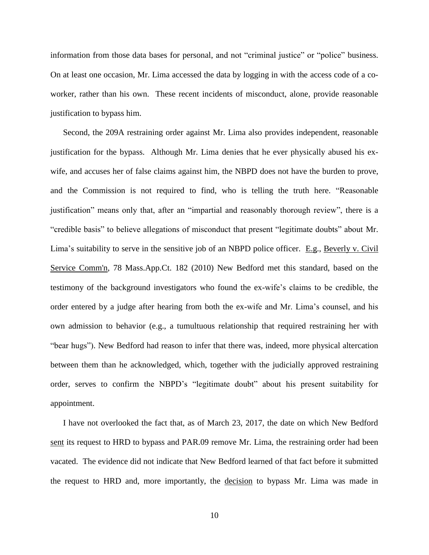information from those data bases for personal, and not "criminal justice" or "police" business. On at least one occasion, Mr. Lima accessed the data by logging in with the access code of a coworker, rather than his own. These recent incidents of misconduct, alone, provide reasonable justification to bypass him.

Second, the 209A restraining order against Mr. Lima also provides independent, reasonable justification for the bypass. Although Mr. Lima denies that he ever physically abused his exwife, and accuses her of false claims against him, the NBPD does not have the burden to prove, and the Commission is not required to find, who is telling the truth here. "Reasonable justification" means only that, after an "impartial and reasonably thorough review", there is a "credible basis" to believe allegations of misconduct that present "legitimate doubts" about Mr. Lima's suitability to serve in the sensitive job of an NBPD police officer. E.g., [Beverly v. Civil](http://web2.westlaw.com/find/default.wl?mt=Massachusetts&db=578&rs=WLW15.04&tc=-1&rp=%2ffind%2fdefault.wl&findtype=Y&ordoc=2029136022&serialnum=2023501172&vr=2.0&fn=_top&sv=Split&tf=-1&pbc=70F732C1&utid=1)  [Service Comm'n, 78 Mass.App.Ct. 182 \(2010\)](http://web2.westlaw.com/find/default.wl?mt=Massachusetts&db=578&rs=WLW15.04&tc=-1&rp=%2ffind%2fdefault.wl&findtype=Y&ordoc=2029136022&serialnum=2023501172&vr=2.0&fn=_top&sv=Split&tf=-1&pbc=70F732C1&utid=1) New Bedford met this standard, based on the testimony of the background investigators who found the ex-wife's claims to be credible, the order entered by a judge after hearing from both the ex-wife and Mr. Lima's counsel, and his own admission to behavior (e.g., a tumultuous relationship that required restraining her with "bear hugs"). New Bedford had reason to infer that there was, indeed, more physical altercation between them than he acknowledged, which, together with the judicially approved restraining order, serves to confirm the NBPD's "legitimate doubt" about his present suitability for appointment.

I have not overlooked the fact that, as of March 23, 2017, the date on which New Bedford sent its request to HRD to bypass and PAR.09 remove Mr. Lima, the restraining order had been vacated. The evidence did not indicate that New Bedford learned of that fact before it submitted the request to HRD and, more importantly, the decision to bypass Mr. Lima was made in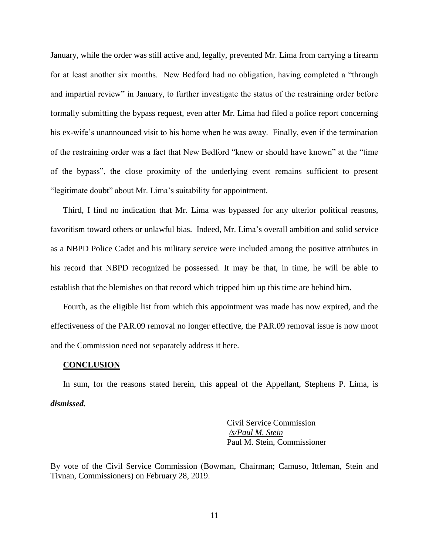January, while the order was still active and, legally, prevented Mr. Lima from carrying a firearm for at least another six months. New Bedford had no obligation, having completed a "through and impartial review" in January, to further investigate the status of the restraining order before formally submitting the bypass request, even after Mr. Lima had filed a police report concerning his ex-wife's unannounced visit to his home when he was away. Finally, even if the termination of the restraining order was a fact that New Bedford "knew or should have known" at the "time of the bypass", the close proximity of the underlying event remains sufficient to present "legitimate doubt" about Mr. Lima's suitability for appointment.

Third, I find no indication that Mr. Lima was bypassed for any ulterior political reasons, favoritism toward others or unlawful bias. Indeed, Mr. Lima's overall ambition and solid service as a NBPD Police Cadet and his military service were included among the positive attributes in his record that NBPD recognized he possessed. It may be that, in time, he will be able to establish that the blemishes on that record which tripped him up this time are behind him.

Fourth, as the eligible list from which this appointment was made has now expired, and the effectiveness of the PAR.09 removal no longer effective, the PAR.09 removal issue is now moot and the Commission need not separately address it here.

#### **CONCLUSION**

In sum, for the reasons stated herein, this appeal of the Appellant, Stephens P. Lima, is *dismissed.* 

> Civil Service Commission */s/Paul M. Stein*  Paul M. Stein, Commissioner

By vote of the Civil Service Commission (Bowman, Chairman; Camuso, Ittleman, Stein and Tivnan, Commissioners) on February 28, 2019.